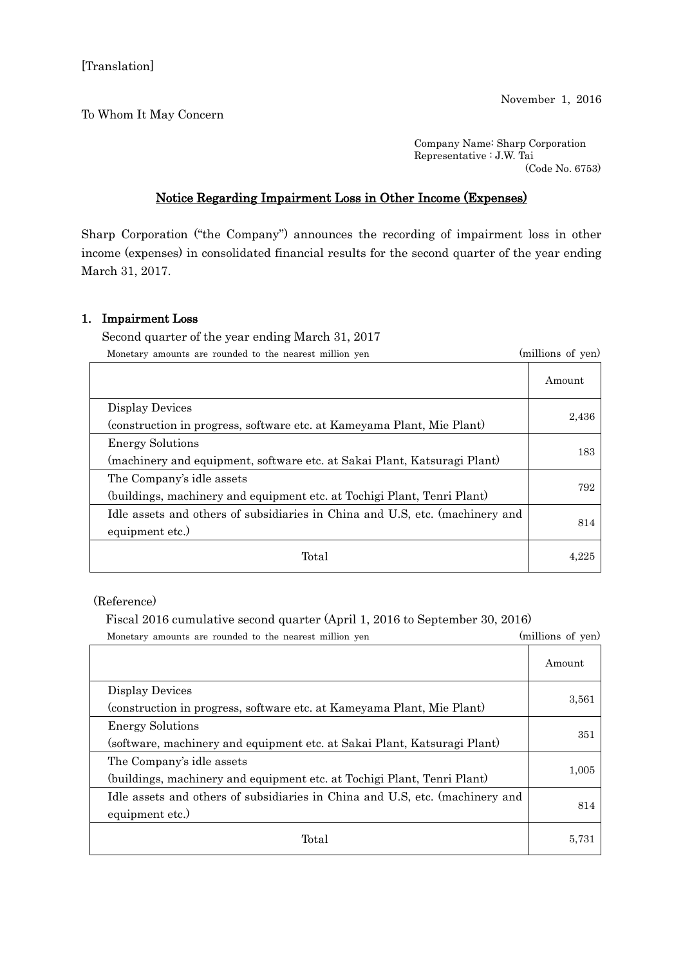To Whom It May Concern

Company Name: Sharp Corporation Representative : J.W. Tai (Code No. 6753)

## Notice Regarding Impairment Loss in Other Income (Expenses)

Sharp Corporation ("the Company") announces the recording of impairment loss in other income (expenses) in consolidated financial results for the second quarter of the year ending March 31, 2017.

## 1. Impairment Loss

Second quarter of the year ending March 31, 2017

Monetary amounts are rounded to the nearest million yen (millions of yen)

|                                                                              | Amount |
|------------------------------------------------------------------------------|--------|
| Display Devices                                                              | 2,436  |
| (construction in progress, software etc. at Kameyama Plant, Mie Plant)       |        |
| <b>Energy Solutions</b>                                                      | 183    |
| (machinery and equipment, software etc. at Sakai Plant, Katsuragi Plant)     |        |
| The Company's idle assets                                                    | 792    |
| (buildings, machinery and equipment etc. at Tochigi Plant, Tenri Plant)      |        |
| Idle assets and others of subsidiaries in China and U.S. etc. (machinery and | 814    |
| equipment etc.)                                                              |        |
| Total                                                                        | 4 22   |

(Reference)

## Fiscal 2016 cumulative second quarter (April 1, 2016 to September 30, 2016)

| (millions of yen)<br>Monetary amounts are rounded to the nearest million yen                         |        |
|------------------------------------------------------------------------------------------------------|--------|
|                                                                                                      | Amount |
| Display Devices<br>(construction in progress, software etc. at Kameyama Plant, Mie Plant)            | 3,561  |
| <b>Energy Solutions</b><br>(software, machinery and equipment etc. at Sakai Plant, Katsuragi Plant)  | 351    |
| The Company's idle assets<br>(buildings, machinery and equipment etc. at Tochigi Plant, Tenri Plant) | 1,005  |
| Idle assets and others of subsidiaries in China and U.S. etc. (machinery and<br>equipment etc.)      | 814    |
| Total                                                                                                | 5,731  |